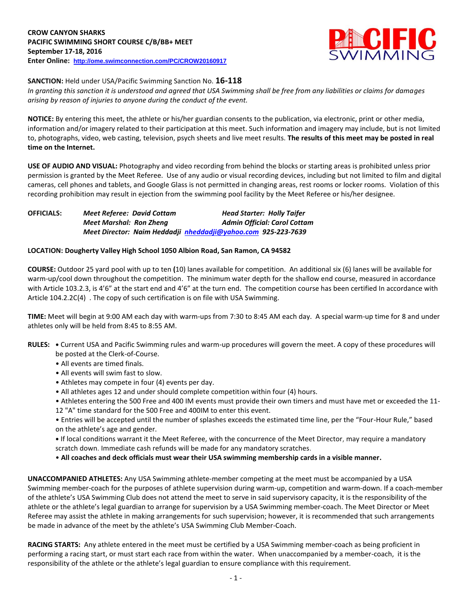

**SANCTION:** Held under USA/Pacific Swimming Sanction No. **16-118**

*In granting this sanction it is understood and agreed that USA Swimming shall be free from any liabilities or claims for damages arising by reason of injuries to anyone during the conduct of the event.*

**NOTICE:** By entering this meet, the athlete or his/her guardian consents to the publication, via electronic, print or other media, information and/or imagery related to their participation at this meet. Such information and imagery may include, but is not limited to, photographs, video, web casting, television, psych sheets and live meet results. **The results of this meet may be posted in real time on the Internet.**

**USE OF AUDIO AND VISUAL:** Photography and video recording from behind the blocks or starting areas is prohibited unless prior permission is granted by the Meet Referee. Use of any audio or visual recording devices, including but not limited to film and digital cameras, cell phones and tablets, and Google Glass is not permitted in changing areas, rest rooms or locker rooms. Violation of this recording prohibition may result in ejection from the swimming pool facility by the Meet Referee or his/her designee.

| <b>OFFICIALS:</b> | <b>Meet Referee: David Cottam</b>                             | <b>Head Starter: Holly Taifer</b>   |  |  |  |  |  |
|-------------------|---------------------------------------------------------------|-------------------------------------|--|--|--|--|--|
|                   | <b>Meet Marshal: Ron Zheng</b>                                | <b>Admin Official: Carol Cottam</b> |  |  |  |  |  |
|                   | Meet Director: Naim Heddadji nheddadji@yahoo.com 925-223-7639 |                                     |  |  |  |  |  |

# **LOCATION: Dougherty Valley High School 1050 Albion Road, San Ramon, CA 94582**

**COURSE:** Outdoor 25 yard pool with up to ten **(**10) lanes available for competition.An additional six (6) lanes will be available for warm-up/cool down throughout the competition. The minimum water depth for the shallow end course, measured in accordance with Article 103.2.3, is 4'6" at the start end and 4'6" at the turn end. The competition course has been certified In accordance with Article 104.2.2C(4) . The copy of such certification is on file with USA Swimming.

**TIME:** Meet will begin at 9:00 AM each day with warm-ups from 7:30 to 8:45 AM each day. A special warm-up time for 8 and under athletes only will be held from 8:45 to 8:55 AM.

- **RULES: •** Current USA and Pacific Swimming rules and warm-up procedures will govern the meet. A copy of these procedures will be posted at the Clerk-of-Course.
	- All events are timed finals.
	- All events will swim fast to slow.
	- Athletes may compete in four (4) events per day.
	- All athletes ages 12 and under should complete competition within four (4) hours.
	- Athletes entering the 500 Free and 400 IM events must provide their own timers and must have met or exceeded the 11- 12 "A" time standard for the 500 Free and 400IM to enter this event.
	- Entries will be accepted until the number of splashes exceeds the estimated time line, per the "Four-Hour Rule," based on the athlete's age and gender.
	- **•** If local conditions warrant it the Meet Referee, with the concurrence of the Meet Director, may require a mandatory scratch down. Immediate cash refunds will be made for any mandatory scratches.
	- **All coaches and deck officials must wear their USA swimming membership cards in a visible manner.**

**UNACCOMPANIED ATHLETES:** Any USA Swimming athlete-member competing at the meet must be accompanied by a USA Swimming member-coach for the purposes of athlete supervision during warm-up, competition and warm-down. If a coach-member of the athlete's USA Swimming Club does not attend the meet to serve in said supervisory capacity, it is the responsibility of the athlete or the athlete's legal guardian to arrange for supervision by a USA Swimming member-coach. The Meet Director or Meet Referee may assist the athlete in making arrangements for such supervision; however, it is recommended that such arrangements be made in advance of the meet by the athlete's USA Swimming Club Member-Coach.

**RACING STARTS:** Any athlete entered in the meet must be certified by a USA Swimming member-coach as being proficient in performing a racing start, or must start each race from within the water. When unaccompanied by a member-coach, it is the responsibility of the athlete or the athlete's legal guardian to ensure compliance with this requirement.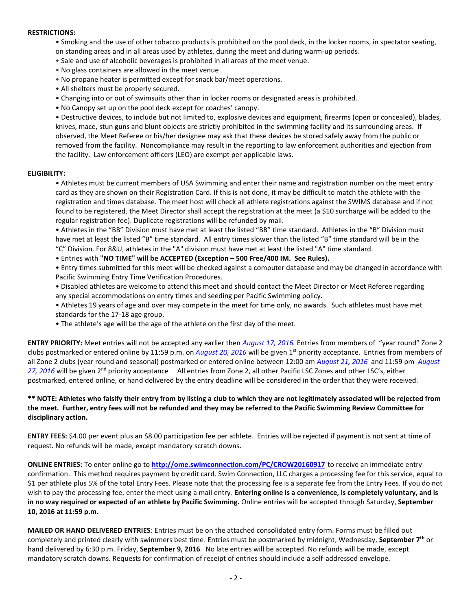#### **RESTRICTIONS:**

- Smoking and the use of other tobacco products is prohibited on the pool deck, in the locker rooms, in spectator seating, on standing areas and in all areas used by athletes, during the meet and during warm-up periods.
- Sale and use of alcoholic beverages is prohibited in all areas of the meet venue.
- No glass containers are allowed in the meet venue.
- No propane heater is permitted except for snack bar/meet operations.
- All shelters must be properly secured.
- Changing into or out of swimsuits other than in locker rooms or designated areas is prohibited.
- No Canopy set up on the pool deck except for coaches' canopy.

• Destructive devices, to include but not limited to, explosive devices and equipment, firearms (open or concealed), blades, knives, mace, stun guns and blunt objects are strictly prohibited in the swimming facility and its surrounding areas. If observed, the Meet Referee or his/her designee may ask that these devices be stored safely away from the public or removed from the facility. Noncompliance may result in the reporting to law enforcement authorities and ejection from the facility. Law enforcement officers (LEO) are exempt per applicable laws.

### **ELIGIBILITY:**

• Athletes must be current members of USA Swimming and enter their name and registration number on the meet entry card as they are shown on their Registration Card. If this is not done, it may be difficult to match the athlete with the registration and times database. The meet host will check all athlete registrations against the SWIMS database and if not found to be registered, the Meet Director shall accept the registration at the meet (a \$10 surcharge will be added to the regular registration fee). Duplicate registrations will be refunded by mail.

• Athletes in the "BB" Division must have met at least the listed "BB" time standard. Athletes in the "B" Division must have met at least the listed "B" time standard. All entry times slower than the listed "B" time standard will be in the "C" Division. For 8&U, athletes in the "A" division must have met at least the listed "A" time standard.

• Entries with **"NO TIME" will be ACCEPTED (Exception – 500 Free/400 IM. See Rules).**

• Entry times submitted for this meet will be checked against a computer database and may be changed in accordance with Pacific Swimming Entry Time Verification Procedures.

- Disabled athletes are welcome to attend this meet and should contact the Meet Director or Meet Referee regarding any special accommodations on entry times and seeding per Pacific Swimming policy.
- Athletes 19 years of age and over may compete in the meet for time only, no awards. Such athletes must have met standards for the 17-18 age group.
- The athlete's age will be the age of the athlete on the first day of the meet.

**ENTRY PRIORITY:** Meet entries will not be accepted any earlier then *August 17, 2016.* Entries from members of "year round" Zone 2 clubs postmarked or entered online by 11:59 p.m. on *August 20, 2016* will be given 1st priority acceptance. Entries from members of all Zone 2 clubs (year round and seasonal) postmarked or entered online between 12:00 am *August 21, 2016* and 11:59 pm *August 27, 2016* will be given 2nd priority acceptance All entries from Zone 2, all other Pacific LSC Zones and other LSC's, either postmarked, entered online, or hand delivered by the entry deadline will be considered in the order that they were received.

# **\*\* NOTE: Athletes who falsify their entry from by listing a club to which they are not legitimately associated will be rejected from the meet. Further, entry fees will not be refunded and they may be referred to the Pacific Swimming Review Committee for disciplinary action.**

**ENTRY FEES:** \$4.00 per event plus an \$8.00 participation fee per athlete. Entries will be rejected if payment is not sent at time of request. No refunds will be made, except mandatory scratch downs.

**ONLINE ENTRIES:** To enter online go to **<http://ome.swimconnection.com/PC/CROW20160917>** to receive an immediate entry confirmation. This method requires payment by credit card. Swim Connection, LLC charges a processing fee for this service, equal to \$1 per athlete plus 5% of the total Entry Fees. Please note that the processing fee is a separate fee from the Entry Fees. If you do not wish to pay the processing fee, enter the meet using a mail entry. **Entering online is a convenience, is completely voluntary, and is in no way required or expected of an athlete by Pacific Swimming.** Online entries will be accepted through Saturday, **September 10, 2016 at 11:59 p.m.**

**MAILED OR HAND DELIVERED ENTRIES**: Entries must be on the attached consolidated entry form. Forms must be filled out completely and printed clearly with swimmers best time. Entries must be postmarked by midnight, Wednesday, **September 7th** or hand delivered by 6:30 p.m. Friday, **September 9, 2016**. No late entries will be accepted. No refunds will be made, except mandatory scratch downs. Requests for confirmation of receipt of entries should include a self-addressed envelope.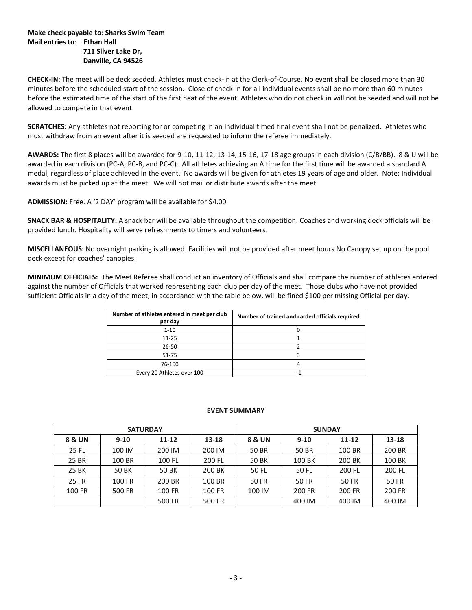### **Make check payable to**: **Sharks Swim Team Mail entries to**: **Ethan Hall 711 Silver Lake Dr, Danville, CA 94526**

**CHECK-IN:** The meet will be deck seeded. Athletes must check-in at the Clerk-of-Course. No event shall be closed more than 30 minutes before the scheduled start of the session. Close of check-in for all individual events shall be no more than 60 minutes before the estimated time of the start of the first heat of the event. Athletes who do not check in will not be seeded and will not be allowed to compete in that event.

**SCRATCHES:** Any athletes not reporting for or competing in an individual timed final event shall not be penalized. Athletes who must withdraw from an event after it is seeded are requested to inform the referee immediately.

**AWARDS:** The first 8 places will be awarded for 9-10, 11-12, 13-14, 15-16, 17-18 age groups in each division (C/B/BB). 8 & U will be awarded in each division (PC-A, PC-B, and PC-C). All athletes achieving an A time for the first time will be awarded a standard A medal, regardless of place achieved in the event. No awards will be given for athletes 19 years of age and older. Note: Individual awards must be picked up at the meet. We will not mail or distribute awards after the meet.

**ADMISSION:** Free. A '2 DAY' program will be available for \$4.00

**SNACK BAR & HOSPITALITY:** A snack bar will be available throughout the competition. Coaches and working deck officials will be provided lunch. Hospitality will serve refreshments to timers and volunteers.

**MISCELLANEOUS:** No overnight parking is allowed. Facilities will not be provided after meet hours No Canopy set up on the pool deck except for coaches' canopies.

**MINIMUM OFFICIALS:** The Meet Referee shall conduct an inventory of Officials and shall compare the number of athletes entered against the number of Officials that worked representing each club per day of the meet. Those clubs who have not provided sufficient Officials in a day of the meet, in accordance with the table below, will be fined \$100 per missing Official per day.

| Number of athletes entered in meet per club<br>per day | Number of trained and carded officials required |
|--------------------------------------------------------|-------------------------------------------------|
| $1 - 10$                                               |                                                 |
| $11 - 25$                                              |                                                 |
| $26 - 50$                                              |                                                 |
| 51-75                                                  |                                                 |
| 76-100                                                 |                                                 |
| Every 20 Athletes over 100                             |                                                 |

#### **EVENT SUMMARY**

|              | <b>SATURDAY</b> |           |        | <b>SUNDAY</b> |              |              |              |  |  |  |
|--------------|-----------------|-----------|--------|---------------|--------------|--------------|--------------|--|--|--|
| 8 & UN       | $9 - 10$        | $11 - 12$ | 13-18  | 8 & UN        | $9 - 10$     | $11 - 12$    | 13-18        |  |  |  |
| 25 FL        | 100 IM          | 200 IM    | 200 IM | 50 BR         | 50 BR        | 100 BR       | 200 BR       |  |  |  |
| 25 BR        | 100 BR          | 100 FL    | 200 FL | 50 BK         | 100 BK       | 200 BK       | 100 BK       |  |  |  |
| 25 BK        | <b>50 BK</b>    | 50 BK     | 200 BK | 50 FL         | <b>50 FL</b> | 200 FL       | 200 FL       |  |  |  |
| <b>25 FR</b> | 100 FR          | 200 BR    | 100 BR | 50 FR         | 50 FR        | <b>50 FR</b> | <b>50 FR</b> |  |  |  |
| 100 FR       | 500 FR          | 100 FR    | 100 FR | 100 IM        | 200 FR       | 200 FR       | 200 FR       |  |  |  |
|              |                 | 500 FR    | 500 FR |               | 400 IM       | 400 IM       | 400 IM       |  |  |  |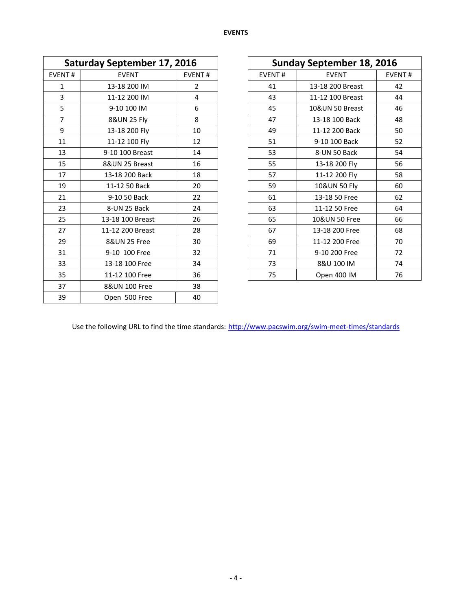| <b>Saturday September 17, 2016</b> |                  |               |               | <b>Sunday September 18, 2016</b> |        |  |
|------------------------------------|------------------|---------------|---------------|----------------------------------|--------|--|
| <b>EVENT#</b>                      | <b>EVENT</b>     | <b>EVENT#</b> | <b>EVENT#</b> | <b>EVENT</b>                     | EVENT# |  |
| 1                                  | 13-18 200 IM     | 2             | 41            | 13-18 200 Breast                 | 42     |  |
| 3                                  | 11-12 200 IM     | 4             | 43            | 11-12 100 Breast                 | 44     |  |
| 5                                  | 9-10 100 IM      | 6             | 45            | 10&UN 50 Breast                  | 46     |  |
| $\overline{7}$                     | 8&UN 25 Fly      | 8             | 47            | 13-18 100 Back                   | 48     |  |
| 9                                  | 13-18 200 Fly    | 10            | 49            | 11-12 200 Back                   | 50     |  |
| 11                                 | 11-12 100 Fly    | 12            | 51            | 9-10 100 Back                    | 52     |  |
| 13                                 | 9-10 100 Breast  | 14            | 53            | 8-UN 50 Back                     | 54     |  |
| 15                                 | 8&UN 25 Breast   | 16            | 55            | 13-18 200 Fly                    | 56     |  |
| 17                                 | 13-18 200 Back   | 18            | 57            | 11-12 200 Fly                    | 58     |  |
| 19                                 | 11-12 50 Back    | 20            | 59            | 10&UN 50 Fly                     | 60     |  |
| 21                                 | 9-10 50 Back     | 22            | 61            | 13-18 50 Free                    | 62     |  |
| 23                                 | 8-UN 25 Back     | 24            | 63            | 11-12 50 Free                    | 64     |  |
| 25                                 | 13-18 100 Breast | 26            | 65            | 10&UN 50 Free                    | 66     |  |
| 27                                 | 11-12 200 Breast | 28            | 67            | 13-18 200 Free                   | 68     |  |
| 29                                 | 8&UN 25 Free     | 30            | 69            | 11-12 200 Free                   | 70     |  |
| 31                                 | 9-10 100 Free    | 32            | 71            | 9-10 200 Free                    | 72     |  |
| 33                                 | 13-18 100 Free   | 34            | 73            | 8&U 100 IM                       | 74     |  |
| 35                                 | 11-12 100 Free   | 36            | 75            | Open 400 IM                      | 76     |  |
| 37                                 | 8&UN 100 Free    | 38            |               |                                  |        |  |
| 39                                 | Open 500 Free    | 40            |               |                                  |        |  |

| <b>Sunday September 18, 2016</b> |                  |               |  |  |  |  |  |  |
|----------------------------------|------------------|---------------|--|--|--|--|--|--|
| <b>EVENT#</b>                    | <b>EVENT</b>     | <b>EVENT#</b> |  |  |  |  |  |  |
| 41                               | 13-18 200 Breast | 42            |  |  |  |  |  |  |
| 43                               | 11-12 100 Breast | 44            |  |  |  |  |  |  |
| 45                               | 10&UN 50 Breast  | 46            |  |  |  |  |  |  |
| 47                               | 13-18 100 Back   | 48            |  |  |  |  |  |  |
| 49                               | 11-12 200 Back   | 50            |  |  |  |  |  |  |
| 51                               | 9-10 100 Back    | 52            |  |  |  |  |  |  |
| 53                               | 8-UN 50 Back     | 54            |  |  |  |  |  |  |
| 55                               | 13-18 200 Fly    | 56            |  |  |  |  |  |  |
| 57                               | 11-12 200 Fly    | 58            |  |  |  |  |  |  |
| 59                               | 10&UN 50 Fly     | 60            |  |  |  |  |  |  |
| 61                               | 13-18 50 Free    | 62            |  |  |  |  |  |  |
| 63                               | 11-12 50 Free    | 64            |  |  |  |  |  |  |
| 65                               | 10&UN 50 Free    | 66            |  |  |  |  |  |  |
| 67                               | 13-18 200 Free   | 68            |  |  |  |  |  |  |
| 69                               | 11-12 200 Free   | 70            |  |  |  |  |  |  |
| 71                               | 9-10 200 Free    | 72            |  |  |  |  |  |  |
| 73                               | 8&U 100 IM       | 74            |  |  |  |  |  |  |
| 75                               | Open 400 IM      | 76            |  |  |  |  |  |  |

Use the following URL to find the time standards: <http://www.pacswim.org/swim-meet-times/standards>